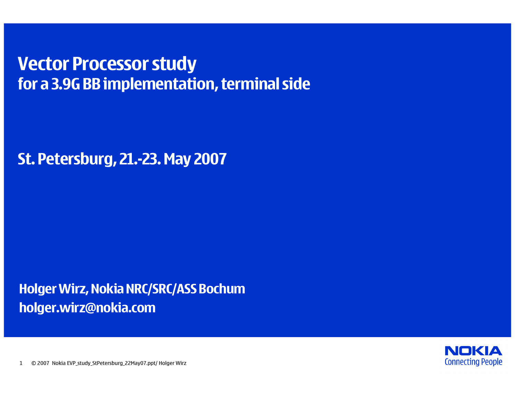## **Vector Processor study for a 3.9G BB implementation, terminal side**

**St. Petersburg, 21.-23. May 2007**

**Holger Wirz, Nokia NRC/SRC/ASS Bochum holger.wirz@nokia.com**

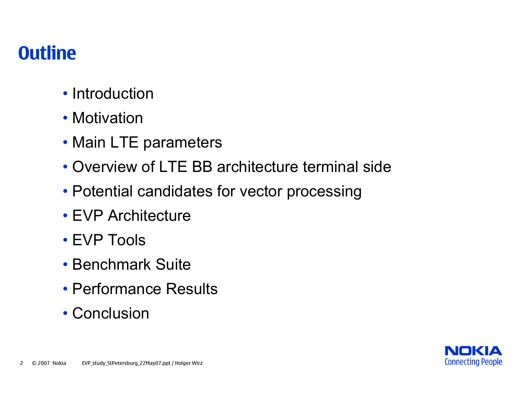## **Outline**

- Introduction
- Motivation
- Main LTE parameters
- Overview of LTE BB architecture terminal side
- Potential candidates for vector processing
- EVP Architecture
- EVP Tools
- Benchmark Suite
- Performance Results
- Conclusion

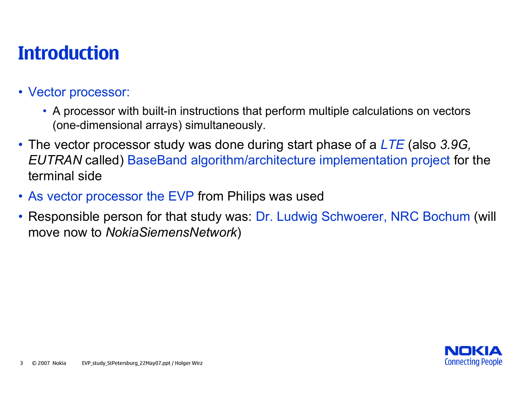## **Introduction**

## • Vector processor:

- A processor with built-in instructions that perform multiple calculations on vectors (one-dimensional arrays) simultaneously.
- The vector processor study was done during start phase of a *LTE* (also *3.9G, EUTRAN* called) BaseBand algorithm/architecture implementation project for the terminal side
- As vector processor the EVP from Philips was used
- Responsible person for that study was: Dr. Ludwig Schwoerer, NRC Bochum (will move now to *NokiaSiemensNetwork* )

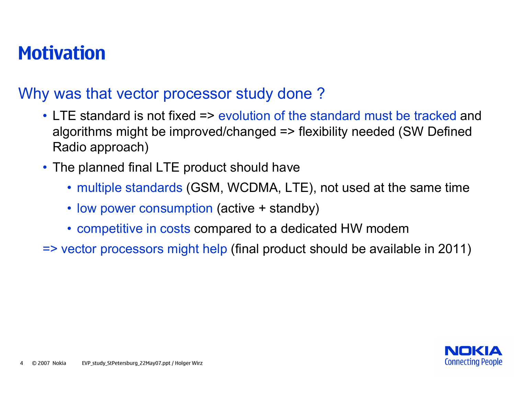## **Motivation**

## Why was that vector processor study done ?

- LTE standard is not fixed => evolution of the standard must be tracked and algorithms might be improved/changed => flexibility needed (SW Defined Radio approach)
- The planned final LTE product should have
	- multiple standards (GSM, WCDMA, LTE), not used at the same time
	- low power consumption (active + standby)
	- competitive in costs compared to a dedicated HW modem
- => vector processors might help (final product should be available in 2011)

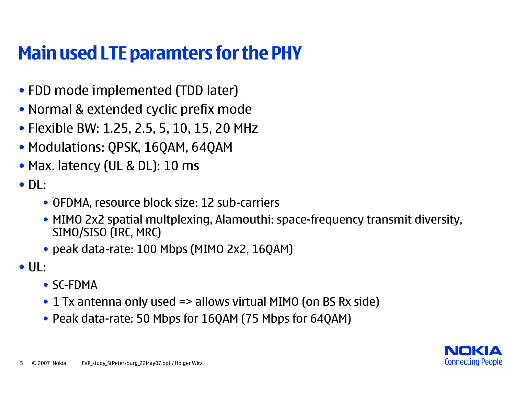# **Main used LTE paramters for the PHY**

- FDD mode implemented (TDD later)
- Normal & extended cyclic prefix mode
- Flexible BW: 1.25, 2.5, 5, 10, 15, 20 MHz
- Modulations: QPSK, 16QAM, 64QAM
- Max. latency (UL & DL): 10 ms
- DL:
	- OFDMA, resource block size: 12 sub-carriers
	- MIMO 2x2 spatial multplexing, Alamouthi: space-frequency transmit diversity, SIMO/SISO (IRC, MRC)
	- peak data-rate: 100 Mbps (MIMO 2x2, 16QAM)
- UL:
	- SC-FDMA
	- 1 Tx antenna only used => allows virtual MIMO (on BS Rx side)
	- Peak data-rate: 50 Mbps for 16QAM (75 Mbps for 64QAM)

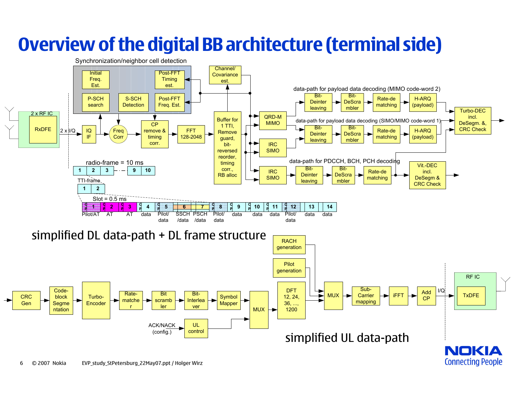# **Overview of the digital BB architecture (terminal side)**

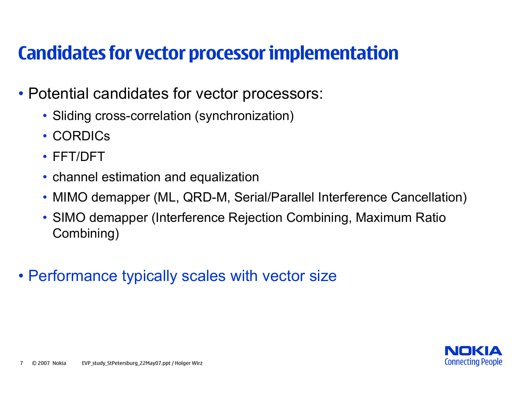## **Candidates for vector processor implementation**

- Potential candidates for vector processors:
	- Sliding cross-correlation (synchronization)
	- CORDICs
	- FFT/DFT
	- channel estimation and equalization
	- MIMO demapper (ML, QRD-M, Serial/Parallel Interference Cancellation)
	- SIMO demapper (Interference Rejection Combining, Maximum Ratio Combining)
- Performance typically scales with vector size

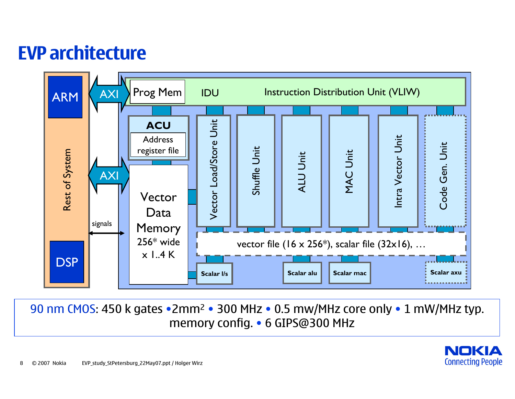## **EVP architecture**



90 nm CMOS: 450 k gates •2mm 2 • 300 MHz • 0.5 mw/MHz core only • 1 mW/MHz typ. memory config. • 6 GIPS@300 MHz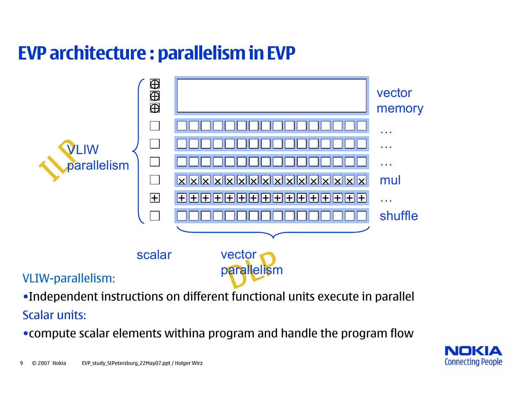# **EVP architecture : parallelism in EVP**



•Independent instructions on different functional units execute in parallel

Scalar units:

•compute scalar elements withina program and handle the program flow

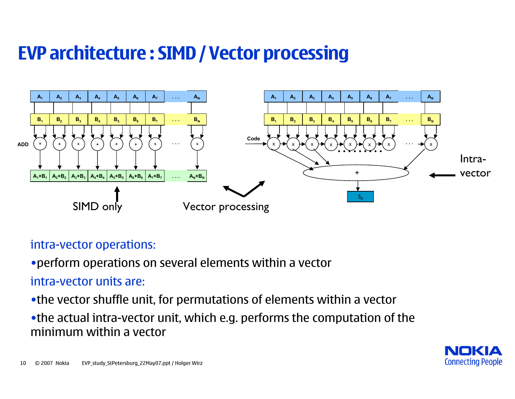# **EVP architecture : SIMD / Vector processing**



### intra-vector operations:

•perform operations on several elements within a vector

## intra-vector units are:

•the vector shuffle unit, for permutations of elements within a vector

•the actual intra-vector unit, which e.g. performs the computation of the minimum within a vector

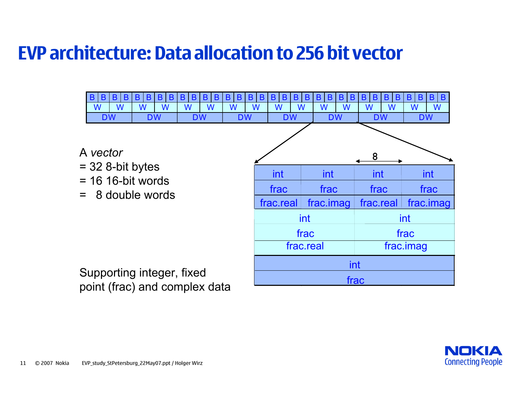## **EVP architecture: Data allocation to 256 bit vector**



point (frac) and complex data

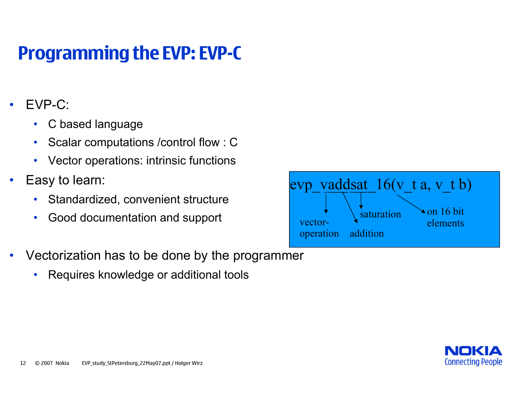# **Programming the EVP: EVP-C**

- • EVP-C:
	- $\bullet$ C based language
	- •Scalar computations /control flow : C
	- $\bullet$ Vector operations: intrinsic functions
- • Easy to learn:
	- $\bullet$ Standardized, convenient structure
	- •Good documentation and support
- • Vectorization has to be done by the programmer
	- •Requires knowledge or additional tools

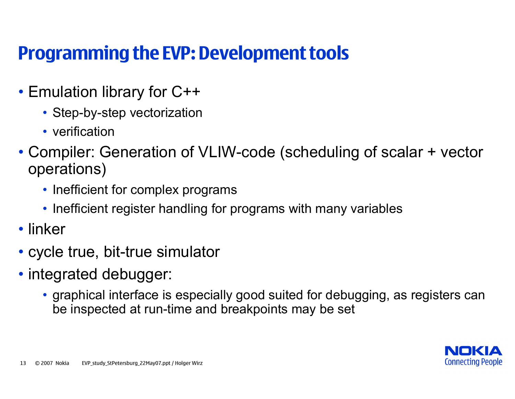## **Programming the EVP: Development tools**

- Emulation library for C++
	- Step-by-step vectorization
	- verification
- Compiler: Generation of VLIW-code (scheduling of scalar + vector operations)
	- Inefficient for complex programs
	- Inefficient register handling for programs with many variables
- linker
- cycle true, bit-true simulator
- integrated debugger:
	- graphical interface is especially good suited for debugging, as registers can be inspected at run-time and breakpoints may be set

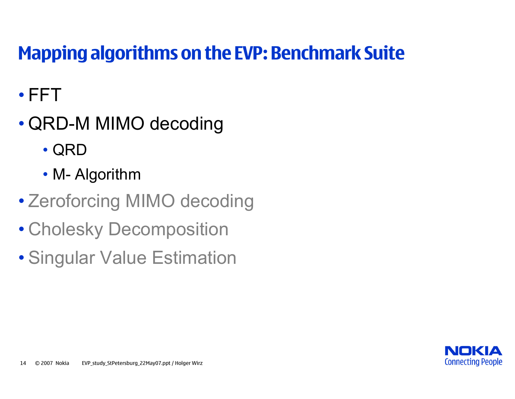# **Mapping algorithms on the EVP: Benchmark Suite**

- FFT
- QRD-M MIMO decoding
	- QRD
	- M- Algorithm
- Zeroforcing MIMO decoding
- Cholesky Decomposition
- Singular Value Estimation

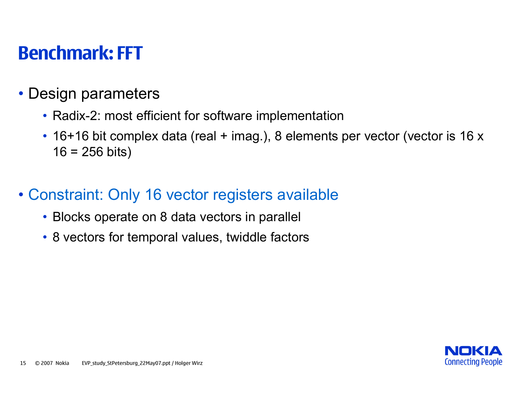## **Benchmark: FFT**

- Design parameters
	- Radix-2: most efficient for software implementation
	- 16+16 bit complex data (real + imag.), 8 elements per vector (vector is 16 x  $16 = 256$  bits)
- Constraint: Only 16 vector registers available
	- Blocks operate on 8 data vectors in parallel
	- 8 vectors for temporal values, twiddle factors

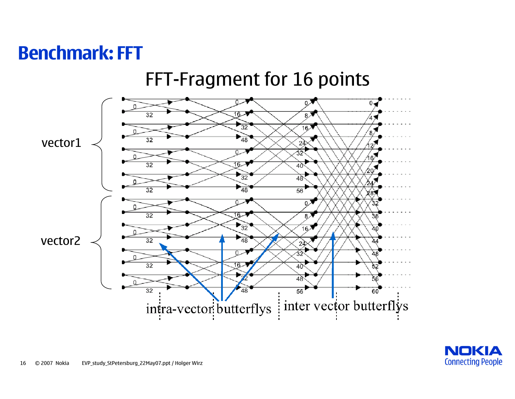## **Benchmark: FFT**



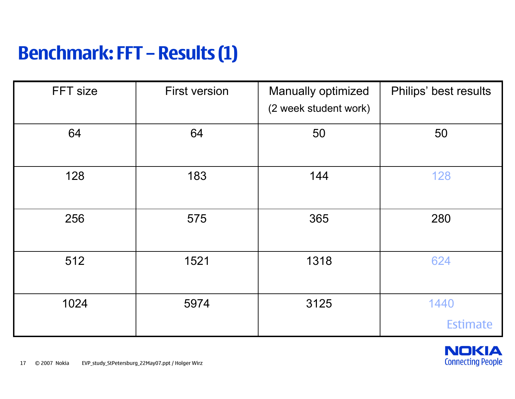## **Benchmark: FFT – Results (1)**

| FFT size | <b>First version</b> | Manually optimized<br>(2 week student work) | Philips' best results   |
|----------|----------------------|---------------------------------------------|-------------------------|
| 64       | 64                   | 50                                          | 50                      |
| 128      | 183                  | 144                                         | 128                     |
| 256      | 575                  | 365                                         | 280                     |
| 512      | 1521                 | 1318                                        | 624                     |
| 1024     | 5974                 | 3125                                        | 1440<br><b>Estimate</b> |

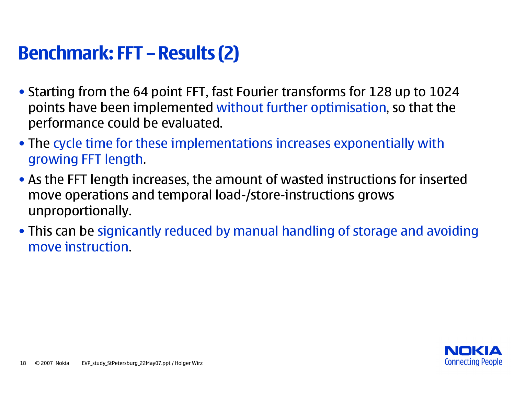## **Benchmark: FFT – Results (2)**

- Starting from the 64 point FFT, fast Fourier transforms for 128 up to 1024 points have been implemented without further optimisation, so that the performance could be evaluated.
- The cycle time for these implementations increases exponentially with growing FFT length.
- As the FFT length increases, the amount of wasted instructions for inserted move operations and temporal load-/store-instructions grows unproportionally.
- This can be signicantly reduced by manual handling of storage and avoiding move instruction.

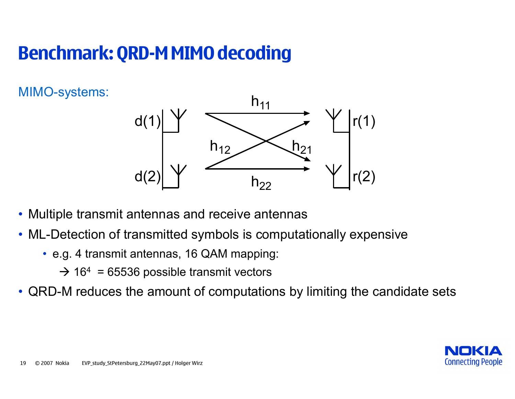# **Benchmark: QRD-M MIMO decoding**

MIMO-systems:



- Multiple transmit antennas and receive antennas
- ML-Detection of transmitted symbols is computationally expensive
	- e.g. 4 transmit antennas, 16 QAM mapping:
		- $\rightarrow$  16<sup>4</sup> = 65536 possible transmit vectors
- QRD-M reduces the amount of computations by limiting the candidate sets

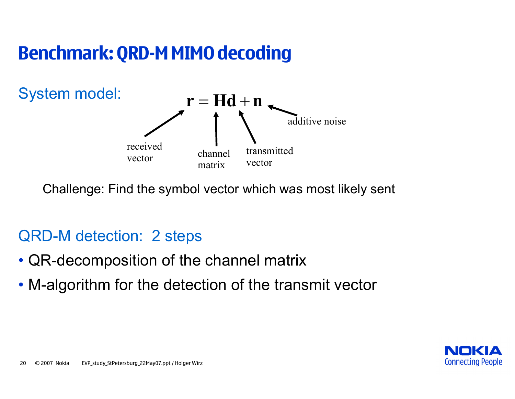## **Benchmark: QRD-M MIMO decoding**



Challenge: Find the symbol vector which was most likely sent

## QRD-M detection: 2 steps

- QR-decomposition of the channel matrix
- M-algorithm for the detection of the transmit vector

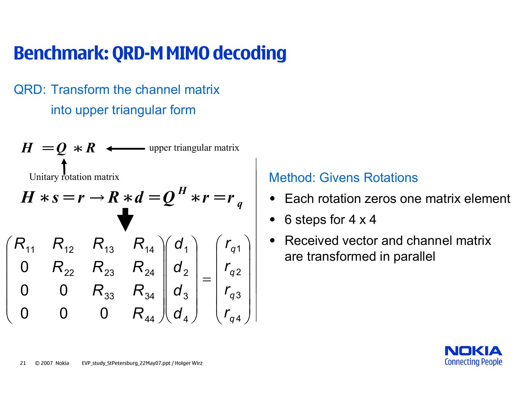# **Benchmark: QRD-M MIMO decoding**

## QRD: Transform the channel matrix into upper triangular form

 $H = Q \, *R \, \, \, \longleftrightarrow$  upper triangular matrix  $H * s = r \rightarrow R * d = Q^H * r = r_q$ Unitary rotation matrix **Method: Givens Rotations** ⎟ ⎟ ⎟ ⎟  $\overline{\phantom{a}}$  $\int$ ⎞  $\overline{\phantom{a}}$  $\overline{\phantom{a}}$  $\overline{\phantom{a}}$  $\overline{\phantom{a}}$  $\overline{\phantom{a}}$  $\setminus$  $\int$ = ⎟ ⎟ ⎟ ⎟  $\overline{\phantom{a}}$  $\int$ ⎞  $\overline{\phantom{a}}$  $\overline{\phantom{a}}$  $\overline{\phantom{a}}$  $\overline{\phantom{a}}$  $\overline{\phantom{a}}$  $\setminus$  $\int$ ⎟ ⎟ ⎟ ⎟  $\overline{\phantom{a}}$  $\int$ ⎞ 4 3 2 1 4 3 2 1 44 33 34 22 ' 23 ' 24 11 12 113 114 000 00 0 *q q q q r r r r d d d d R*  $R_{33}$   $R$  $R_{22}$   $R_{23}$   $R$  $R_{11}$   $R_{12}$   $R_{13}$   $R$ 

- Each rotation zeros one matrix element
- 6 steps for 4 x 4
- •• Received vector and channel matrix are transformed in parallel



 $\overline{\phantom{a}}$  $\overline{\phantom{a}}$ 

 $\setminus$ 

 $\overline{\phantom{a}}$ 

 $\overline{\phantom{a}}$ 

 $\overline{\phantom{a}}$ 

 $\bigg($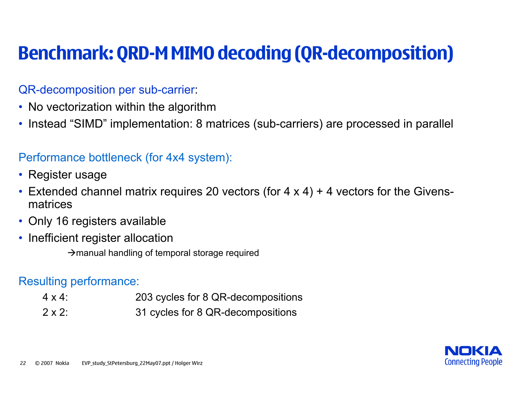# **Benchmark: QRD-M MIMO decoding (QR-decomposition)**

#### QR-decomposition per sub-carrier:

- No vectorization within the algorithm
- Instead "SIMD" implementation: 8 matrices (sub-carriers) are processed in parallel

## Performance bottleneck (for 4x4 system):

- Register usage
- Extended channel matrix requires 20 vectors (for 4 x 4) + 4 vectors for the Givensmatrices
- Only 16 registers available
- Inefficient register allocation

 $\rightarrow$  manual handling of temporal storage required

#### Resulting performance:

- $4 \times 4$ 203 cycles for 8 QR-decompositions
- $2 \times 2$ : 31 cycles for 8 QR-decompositions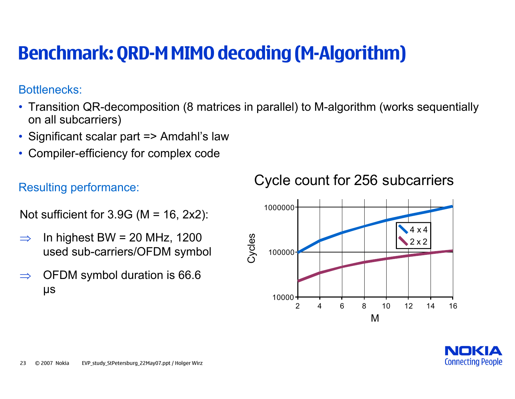# **Benchmark: QRD-M MIMO decoding (M-Algorithm)**

#### Bottlenecks:

- Transition QR-decomposition (8 matrices in parallel) to M-algorithm (works sequentially on all subcarriers)
- Significant scalar part => Amdahl's law
- Compiler-efficiency for complex code

## Resulting performance:

Not sufficient for  $3.9G$  (M = 16, 2x2):

- ⇒In highest BW =  $20$  MHz, 1200 used sub-carriers/OFDM symbol
- ⇒ OFDM symbol duration is 66.6 µs

Cycle count for 256 subcarriers



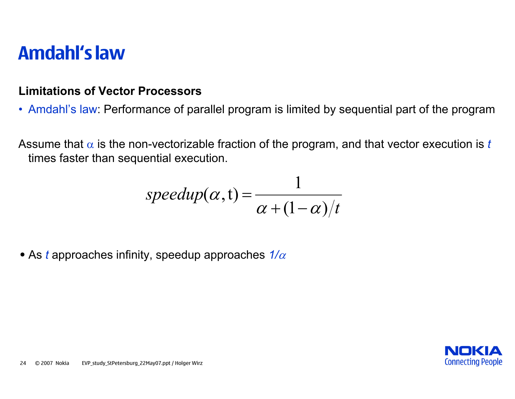## **Amdahl's law**

#### **Limitations of Vector Processors**

• Amdahl's law: Performance of parallel program is limited by sequential part of the program

Assume that  $\alpha$  is the non-vectorizable fraction of the program, and that vector execution is  $t$ times faster than sequential execution.

$$
speedup(\alpha, t) = \frac{1}{\alpha + (1 - \alpha)/t}
$$

• As *t* approaches infinity, speedup approaches *1/*<sup>α</sup>

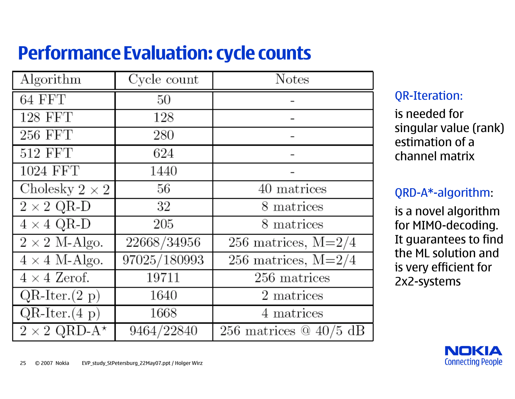# **Performance Evaluation: cycle counts**

| Algorithm                                 | $Cycle$ count | <b>Notes</b>             |
|-------------------------------------------|---------------|--------------------------|
| 64 FFT                                    | 50            |                          |
| 128 FFT                                   | 128           |                          |
| $256$ $\ensuremath{\mathrm{FFT}}$         | 280           |                          |
| $512$ $\overline{\mathrm{FFT}}$           | 624           |                          |
| 1024 FFT                                  | 1440          |                          |
| Cholesky $2 \times 2$                     | 56            | 40 matrices              |
| $2 \times 2$ QR-D                         | 32            | 8 matrices               |
| $4 \times 4$ QR-D                         | 205           | 8 matrices               |
| $2 \times 2$ M-Algo.                      | 22668/34956   | 256 matrices, $M=2/4$    |
| $4 \times 4$ M-Algo.                      | 97025/180993  | 256 matrices, $M=2/4$    |
| $4 \times 4$ Zerof.                       | 19711         | 256 matrices             |
| $\overline{\text{QR-Iter.}}(2 \text{ p})$ | 1640          | 2 matrices               |
| $QR-Iter.(4 p)$                           | 1668          | 4 matrices               |
| $2 \times 2$ QRD-A <sup>*</sup>           | 9464/22840    | 256 matrices $@$ 40/5 dB |

## QR-Iteration:

is needed for singular value (rank) estimation of a channel matrix

## QRD-A\*-algorithm:

is a novel algorithm for MIMO-decoding. It guarantees to find the ML solution and is very efficient for 2x2-systems

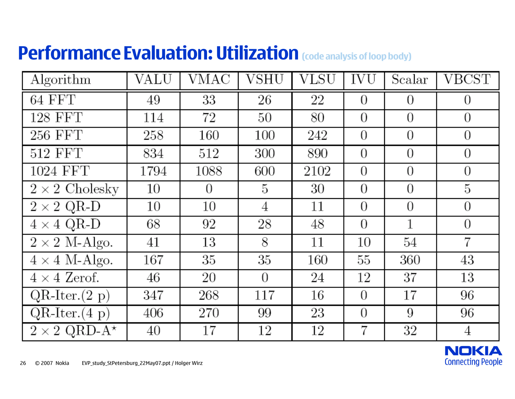# **Performance Evaluation: Utilization (code analysis of loop body)**

| Algorithm                        | VALU | VMAC     | VSHU           | $\rm{VLSU}$ | IVU            | Scalar   | VBCST          |
|----------------------------------|------|----------|----------------|-------------|----------------|----------|----------------|
| 64 FFT                           | 49   | 33       | 26             | 22          | $\Omega$       | $\Omega$ | $\theta$       |
| 128 FFT                          | 114  | 72       | 50             | 80          | $\overline{0}$ | $\theta$ | $\theta$       |
| 256 FFT                          | 258  | 160      | 100            | 242         | $\theta$       | $\theta$ | $\theta$       |
| 512 FFT                          | 834  | 512      | 300            | 890         | $\theta$       | $\Omega$ | $\overline{0}$ |
| 1024 FFT                         | 1794 | 1088     | 600            | 2102        | $\Omega$       | $\Omega$ | $\overline{0}$ |
| $\overline{2} \times 2$ Cholesky | 10   | $\Omega$ | 5              | 30          | $\theta$       | $\Omega$ | 5              |
| $2\times 2$ QR-D                 | 10   | 10       | 4              | 11          | $\overline{0}$ | $\Omega$ | $\overline{0}$ |
| $4 \times 4$ QR-D                | 68   | 92       | 28             | 48          | $\Omega$       | 1        | $\overline{0}$ |
| $2 \times 2$ M-Algo.             | 41   | 13       | 8              | 11          | 10             | 54       | 7              |
| $4 \times 4$ M-Algo.             | 167  | 35       | 35             | 160         | $55\,$         | 360      | 43             |
| $4 \times 4$ Zerof.              | 46   | 20       | $\overline{0}$ | 24          | 12             | 37       | 13             |
| $QR-Iter.(2 p)$                  | 347  | 268      | 117            | 16          | $\Omega$       | 17       | 96             |
| $QR-Iter.(4 p)$                  | 406  | 270      | 99             | 23          | $\theta$       | 9        | 96             |
| $2 \times 2$ QRD-A <sup>*</sup>  | 40   | 17       | 12             | 12          | 7              | 32       | 4              |

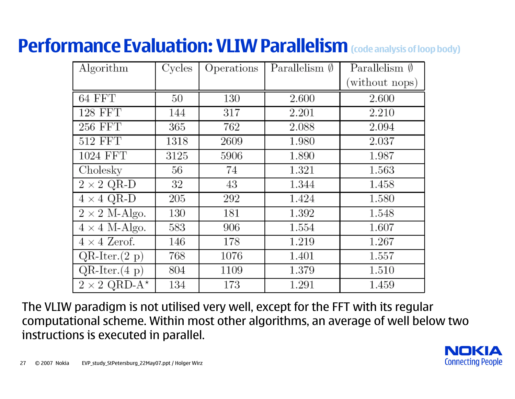# **Performance Evaluation: VLIW Parallelism (code analysis of loop body)**

| Algorithm                       | Cycles | Operations | Parallelism $\emptyset$ | Parallelism $\emptyset$ |
|---------------------------------|--------|------------|-------------------------|-------------------------|
|                                 |        |            |                         | (without nops)          |
| $64$ FFT                        | 50     | 130        | 2.600                   | 2.600                   |
| <b>128 FFT</b>                  | 144    | 317        | 2.201                   | 2.210                   |
| 256 FFT                         | 365    | 762        | 2.088                   | 2.094                   |
| <b>512 FFT</b>                  | 1318   | 2609       | 1.980                   | 2.037                   |
| 1024 FFT                        | 3125   | 5906       | 1.890                   | 1.987                   |
| Cholesky                        | 56     | 74         | 1.321                   | 1.563                   |
| $2 \times 2$ QR-D               | 32     | 43         | 1.344                   | 1.458                   |
| $4 \times 4$ QR-D               | 205    | 292        | 1.424                   | 1.580                   |
| $2 \times 2$ M-Algo.            | 130    | 181        | 1.392                   | 1.548                   |
| $4 \times 4$ M-Algo.            | 583    | 906        | 1.554                   | 1.607                   |
| $4 \times 4$ Zerof.             | 146    | 178        | 1.219                   | 1.267                   |
| $QR-Iter.(2 p)$                 | 768    | 1076       | 1.401                   | 1.557                   |
| $QR-Iter.(4 p)$                 | 804    | 1109       | 1.379                   | 1.510                   |
| $2 \times 2$ QRD-A <sup>*</sup> | 134    | 173        | 1.291                   | 1.459                   |

The VLIW paradigm is not utilised very well, except for the FFT with its regular computational scheme. Within most other algorithms, an average of well below two instructions is executed in parallel.

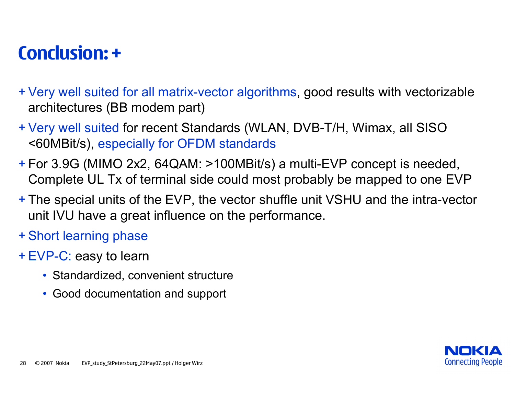## **Conclusion: +**

- + Very well suited for all matrix-vector algorithms, good results with vectorizable architectures (BB modem part)
- + Very well suited for recent Standards (WLAN, DVB-T/H, Wimax, all SISO <60MBit/s), especially for OFDM standards
- + For 3.9G (MIMO 2x2, 64QAM: >100MBit/s) a multi-EVP concept is needed, Complete UL Tx of terminal side could most probably be mapped to one EVP
- + The special units of the EVP, the vector shuffle unit VSHU and the intra-vector unit IVU have a great influence on the performance.
- + Short learning phase
- + EVP-C: easy to learn
	- Standardized, convenient structure
	- Good documentation and support

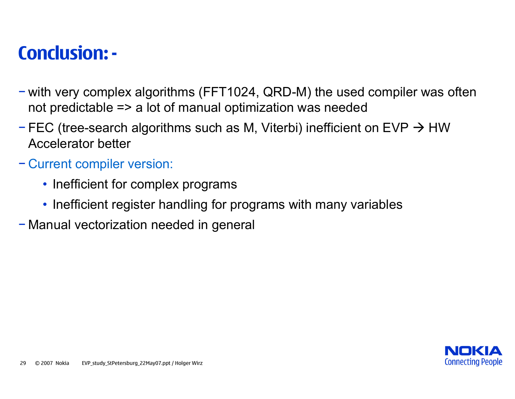## **Conclusion: -**

- − with very complex algorithms (FFT1024, QRD-M) the used compiler was often not predictable => a lot of manual optimization was needed
- − FEC (tree-search algorithms such as M, Viterbi) inefficient on EVP  $\rightarrow$  HW Accelerator better
- − Current compiler version:
	- Inefficient for complex programs
	- Inefficient register handling for programs with many variables
- − Manual vectorization needed in general